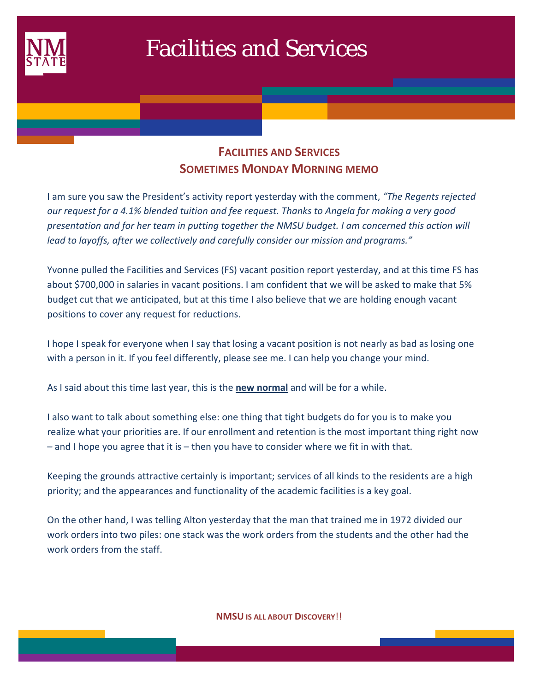

## Facilities and Services

## **FACILITIES AND SERVICES SOMETIMES MONDAY MORNING MEMO**

I am sure you saw the President's activity report yesterday with the comment, *"The Regents rejected our request for a 4.1% blended tuition and fee request. Thanks to Angela for making a very good presentation and for her team in putting together the NMSU budget. I am concerned this action will lead to layoffs, after we collectively and carefully consider our mission and programs."*

Yvonne pulled the Facilities and Services (FS) vacant position report yesterday, and at this time FS has about \$700,000 in salaries in vacant positions. I am confident that we will be asked to make that 5% budget cut that we anticipated, but at this time I also believe that we are holding enough vacant positions to cover any request for reductions.

I hope I speak for everyone when I say that losing a vacant position is not nearly as bad as losing one with a person in it. If you feel differently, please see me. I can help you change your mind.

As I said about this time last year, this is the **new normal** and will be for a while.

I also want to talk about something else: one thing that tight budgets do for you is to make you realize what your priorities are. If our enrollment and retention is the most important thing right now – and I hope you agree that it is – then you have to consider where we fit in with that.

Keeping the grounds attractive certainly is important; services of all kinds to the residents are a high priority; and the appearances and functionality of the academic facilities is a key goal.

On the other hand, I was telling Alton yesterday that the man that trained me in 1972 divided our work orders into two piles: one stack was the work orders from the students and the other had the work orders from the staff.

**NMSU IS ALL ABOUT DISCOVERY**!!